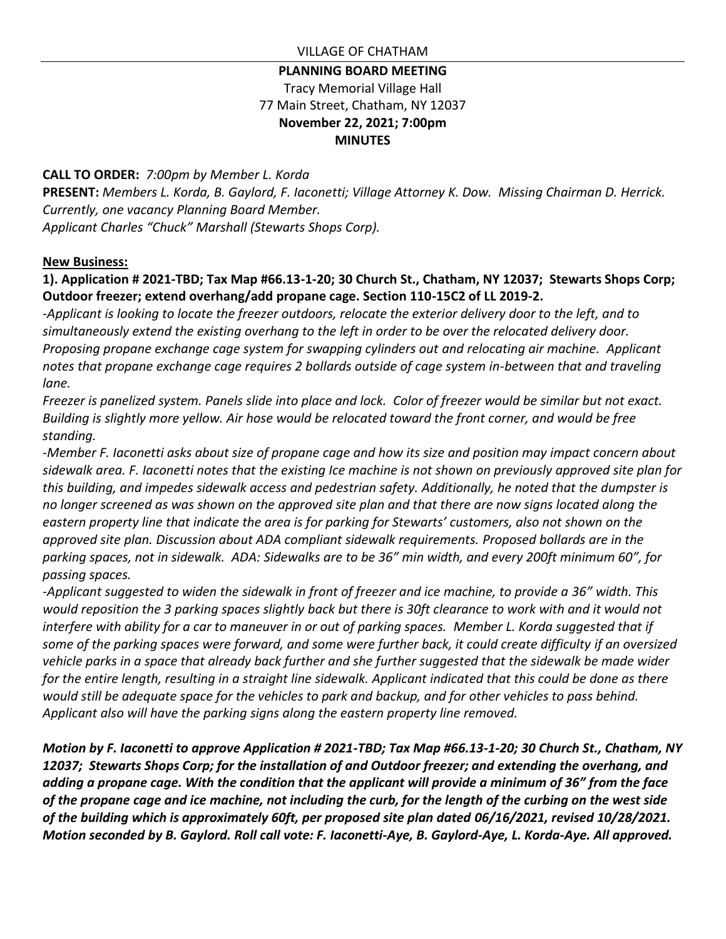## **PLANNING BOARD MEETING** Tracy Memorial Village Hall 77 Main Street, Chatham, NY 12037 **November 22, 2021; 7:00pm MINUTES**

**CALL TO ORDER:** *7:00pm by Member L. Korda*

**PRESENT:** *Members L. Korda, B. Gaylord, F. Iaconetti; Village Attorney K. Dow. Missing Chairman D. Herrick. Currently, one vacancy Planning Board Member. Applicant Charles "Chuck" Marshall (Stewarts Shops Corp).* 

## **New Business:**

**1). Application # 2021-TBD; Tax Map #66.13-1-20; 30 Church St., Chatham, NY 12037; Stewarts Shops Corp; Outdoor freezer; extend overhang/add propane cage. Section 110-15C2 of LL 2019-2.**

*-Applicant is looking to locate the freezer outdoors, relocate the exterior delivery door to the left, and to simultaneously extend the existing overhang to the left in order to be over the relocated delivery door. Proposing propane exchange cage system for swapping cylinders out and relocating air machine. Applicant notes that propane exchange cage requires 2 bollards outside of cage system in-between that and traveling lane.* 

*Freezer is panelized system. Panels slide into place and lock. Color of freezer would be similar but not exact. Building is slightly more yellow. Air hose would be relocated toward the front corner, and would be free standing.* 

*-Member F. Iaconetti asks about size of propane cage and how its size and position may impact concern about sidewalk area. F. Iaconetti notes that the existing Ice machine is not shown on previously approved site plan for this building, and impedes sidewalk access and pedestrian safety. Additionally, he noted that the dumpster is no longer screened as was shown on the approved site plan and that there are now signs located along the eastern property line that indicate the area is for parking for Stewarts' customers, also not shown on the approved site plan. Discussion about ADA compliant sidewalk requirements. Proposed bollards are in the parking spaces, not in sidewalk. ADA: Sidewalks are to be 36" min width, and every 200ft minimum 60", for passing spaces.* 

*-Applicant suggested to widen the sidewalk in front of freezer and ice machine, to provide a 36" width. This would reposition the 3 parking spaces slightly back but there is 30ft clearance to work with and it would not interfere with ability for a car to maneuver in or out of parking spaces. Member L. Korda suggested that if some of the parking spaces were forward, and some were further back, it could create difficulty if an oversized vehicle parks in a space that already back further and she further suggested that the sidewalk be made wider for the entire length, resulting in a straight line sidewalk. Applicant indicated that this could be done as there would still be adequate space for the vehicles to park and backup, and for other vehicles to pass behind. Applicant also will have the parking signs along the eastern property line removed.* 

*Motion by F. Iaconetti to approve Application # 2021-TBD; Tax Map #66.13-1-20; 30 Church St., Chatham, NY 12037; Stewarts Shops Corp; for the installation of and Outdoor freezer; and extending the overhang, and adding a propane cage. With the condition that the applicant will provide a minimum of 36" from the face of the propane cage and ice machine, not including the curb, for the length of the curbing on the west side of the building which is approximately 60ft, per proposed site plan dated 06/16/2021, revised 10/28/2021. Motion seconded by B. Gaylord. Roll call vote: F. Iaconetti-Aye, B. Gaylord-Aye, L. Korda-Aye. All approved.*